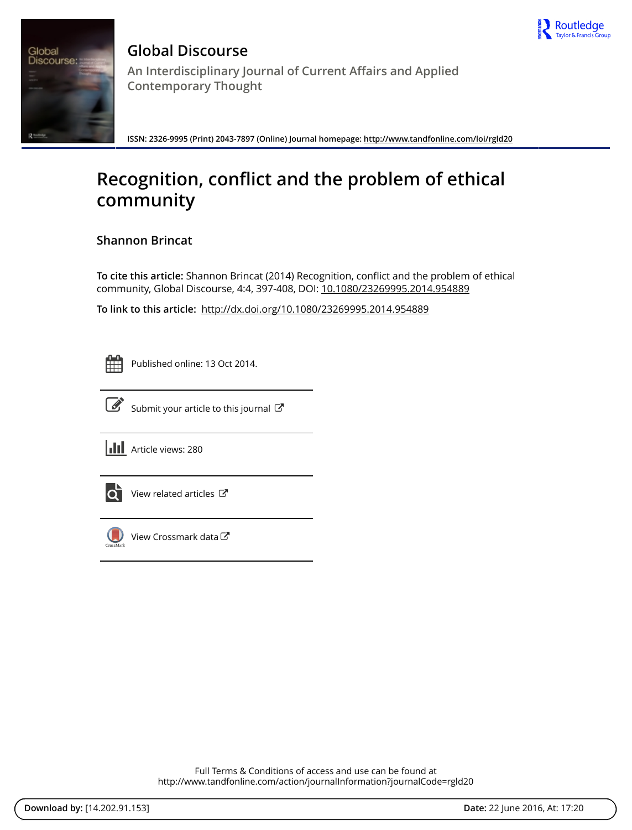



**Global Discourse An Interdisciplinary Journal of Current Affairs and Applied Contemporary Thought**

**ISSN: 2326-9995 (Print) 2043-7897 (Online) Journal homepage:<http://www.tandfonline.com/loi/rgld20>**

# **Recognition, conflict and the problem of ethical community**

**Shannon Brincat**

**To cite this article:** Shannon Brincat (2014) Recognition, conflict and the problem of ethical community, Global Discourse, 4:4, 397-408, DOI: [10.1080/23269995.2014.954889](http://www.tandfonline.com/action/showCitFormats?doi=10.1080/23269995.2014.954889)

**To link to this article:** <http://dx.doi.org/10.1080/23269995.2014.954889>

Published online: 13 Oct 2014.



 $\overline{\mathscr{G}}$  [Submit your article to this journal](http://www.tandfonline.com/action/authorSubmission?journalCode=rgld20&page=instructions)  $\mathscr{G}$ 





 $\overrightarrow{Q}$  [View related articles](http://www.tandfonline.com/doi/mlt/10.1080/23269995.2014.954889)  $\overrightarrow{C}$ 



[View Crossmark data](http://crossmark.crossref.org/dialog/?doi=10.1080/23269995.2014.954889&domain=pdf&date_stamp=2014-10-13)

Full Terms & Conditions of access and use can be found at <http://www.tandfonline.com/action/journalInformation?journalCode=rgld20>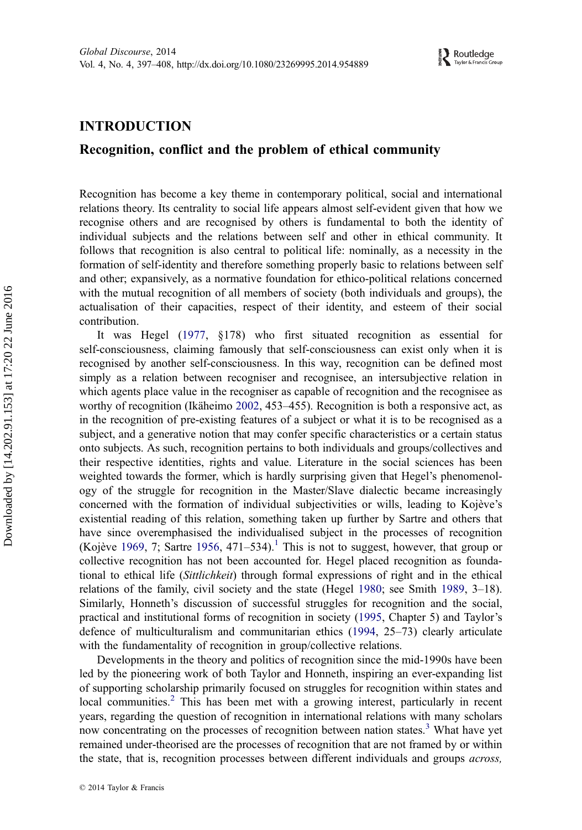## INTRODUCTION

## Recognition, conflict and the problem of ethical community

Recognition has become a key theme in contemporary political, social and international relations theory. Its centrality to social life appears almost self-evident given that how we recognise others and are recognised by others is fundamental to both the identity of individual subjects and the relations between self and other in ethical community. It follows that recognition is also central to political life: nominally, as a necessity in the formation of self-identity and therefore something properly basic to relations between self and other; expansively, as a normative foundation for ethico-political relations concerned with the mutual recognition of all members of society (both individuals and groups), the actualisation of their capacities, respect of their identity, and esteem of their social contribution.

It was Hegel [\(1977](#page-11-0), §178) who first situated recognition as essential for self-consciousness, claiming famously that self-consciousness can exist only when it is recognised by another self-consciousness. In this way, recognition can be defined most simply as a relation between recogniser and recognisee, an intersubjective relation in which agents place value in the recogniser as capable of recognition and the recognisee as worthy of recognition (Ikäheimo [2002,](#page-11-0) 453–455). Recognition is both a responsive act, as in the recognition of pre-existing features of a subject or what it is to be recognised as a subject, and a generative notion that may confer specific characteristics or a certain status onto subjects. As such, recognition pertains to both individuals and groups/collectives and their respective identities, rights and value. Literature in the social sciences has been weighted towards the former, which is hardly surprising given that Hegel's phenomenology of the struggle for recognition in the Master/Slave dialectic became increasingly concerned with the formation of individual subjectivities or wills, leading to Kojève's existential reading of this relation, something taken up further by Sartre and others that have since overemphasised the individualised subject in the processes of recognition (Kojève [1969](#page-11-0), 7; Sartre [1956](#page-12-0), 47[1](#page-10-0)–534).<sup>1</sup> This is not to suggest, however, that group or collective recognition has not been accounted for. Hegel placed recognition as foundational to ethical life (Sittlichkeit) through formal expressions of right and in the ethical relations of the family, civil society and the state (Hegel [1980;](#page-11-0) see Smith [1989,](#page-12-0) 3–18). Similarly, Honneth's discussion of successful struggles for recognition and the social, practical and institutional forms of recognition in society ([1995,](#page-11-0) Chapter 5) and Taylor's defence of multiculturalism and communitarian ethics ([1994,](#page-12-0) 25–73) clearly articulate with the fundamentality of recognition in group/collective relations.

Developments in the theory and politics of recognition since the mid-1990s have been led by the pioneering work of both Taylor and Honneth, inspiring an ever-expanding list of supporting scholarship primarily focused on struggles for recognition within states and local communities.<sup>[2](#page-10-0)</sup> This has been met with a growing interest, particularly in recent years, regarding the question of recognition in international relations with many scholars now concentrating on the processes of recognition between nation states.<sup>[3](#page-10-0)</sup> What have yet remained under-theorised are the processes of recognition that are not framed by or within the state, that is, recognition processes between different individuals and groups *across*,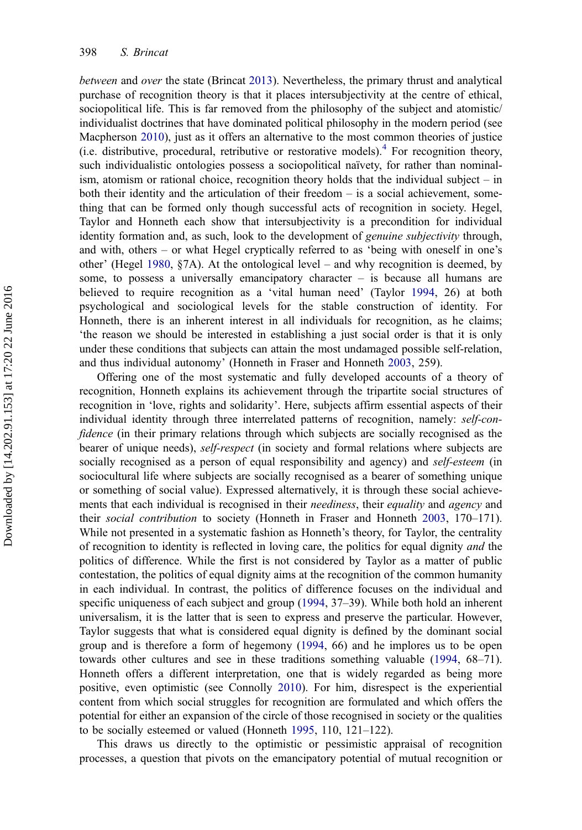between and over the state (Brincat [2013](#page-10-0)). Nevertheless, the primary thrust and analytical purchase of recognition theory is that it places intersubjectivity at the centre of ethical, sociopolitical life. This is far removed from the philosophy of the subject and atomistic/ individualist doctrines that have dominated political philosophy in the modern period (see Macpherson [2010](#page-11-0)), just as it offers an alternative to the most common theories of justice (i.e. distributive, procedural, retributive or restorative models).[4](#page-10-0) For recognition theory, such individualistic ontologies possess a sociopolitical naïvety, for rather than nominalism, atomism or rational choice, recognition theory holds that the individual subject – in both their identity and the articulation of their freedom – is a social achievement, something that can be formed only though successful acts of recognition in society. Hegel, Taylor and Honneth each show that intersubjectivity is a precondition for individual identity formation and, as such, look to the development of *genuine subjectivity* through, and with, others – or what Hegel cryptically referred to as 'being with oneself in one's other' (Hegel [1980](#page-11-0), §7A). At the ontological level – and why recognition is deemed, by some, to possess a universally emancipatory character – is because all humans are believed to require recognition as a 'vital human need' (Taylor [1994,](#page-12-0) 26) at both psychological and sociological levels for the stable construction of identity. For Honneth, there is an inherent interest in all individuals for recognition, as he claims; 'the reason we should be interested in establishing a just social order is that it is only under these conditions that subjects can attain the most undamaged possible self-relation, and thus individual autonomy' (Honneth in Fraser and Honneth [2003](#page-10-0), 259).

Offering one of the most systematic and fully developed accounts of a theory of recognition, Honneth explains its achievement through the tripartite social structures of recognition in 'love, rights and solidarity'. Here, subjects affirm essential aspects of their individual identity through three interrelated patterns of recognition, namely: self-confidence (in their primary relations through which subjects are socially recognised as the bearer of unique needs), *self-respect* (in society and formal relations where subjects are socially recognised as a person of equal responsibility and agency) and *self-esteem* (in sociocultural life where subjects are socially recognised as a bearer of something unique or something of social value). Expressed alternatively, it is through these social achievements that each individual is recognised in their *neediness*, their *equality* and *agency* and their social contribution to society (Honneth in Fraser and Honneth [2003](#page-10-0), 170–171). While not presented in a systematic fashion as Honneth's theory, for Taylor, the centrality of recognition to identity is reflected in loving care, the politics for equal dignity *and* the politics of difference. While the first is not considered by Taylor as a matter of public contestation, the politics of equal dignity aims at the recognition of the common humanity in each individual. In contrast, the politics of difference focuses on the individual and specific uniqueness of each subject and group ([1994,](#page-12-0) 37–39). While both hold an inherent universalism, it is the latter that is seen to express and preserve the particular. However, Taylor suggests that what is considered equal dignity is defined by the dominant social group and is therefore a form of hegemony ([1994,](#page-12-0) 66) and he implores us to be open towards other cultures and see in these traditions something valuable [\(1994,](#page-12-0) 68–71). Honneth offers a different interpretation, one that is widely regarded as being more positive, even optimistic (see Connolly [2010\)](#page-10-0). For him, disrespect is the experiential content from which social struggles for recognition are formulated and which offers the potential for either an expansion of the circle of those recognised in society or the qualities to be socially esteemed or valued (Honneth [1995,](#page-11-0) 110, 121–122).

This draws us directly to the optimistic or pessimistic appraisal of recognition processes, a question that pivots on the emancipatory potential of mutual recognition or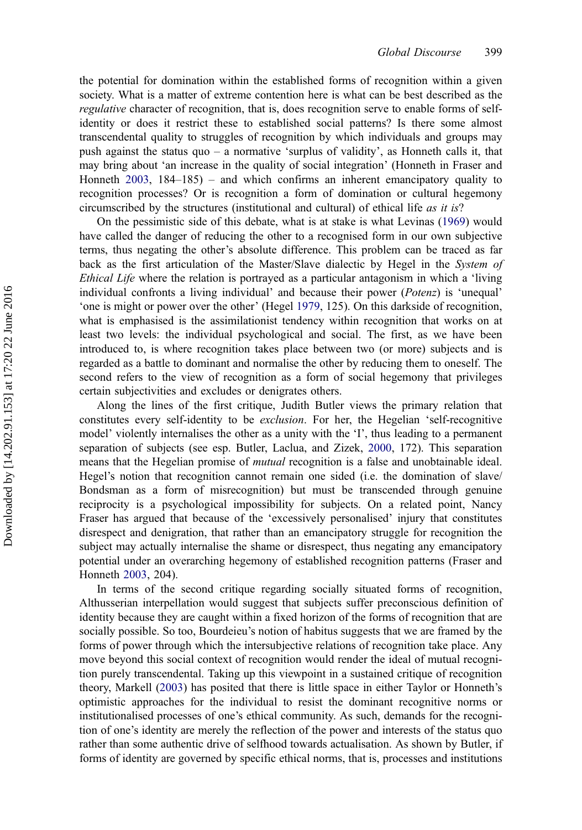the potential for domination within the established forms of recognition within a given society. What is a matter of extreme contention here is what can be best described as the regulative character of recognition, that is, does recognition serve to enable forms of selfidentity or does it restrict these to established social patterns? Is there some almost transcendental quality to struggles of recognition by which individuals and groups may push against the status quo – a normative 'surplus of validity', as Honneth calls it, that may bring about 'an increase in the quality of social integration' (Honneth in Fraser and Honneth [2003](#page-10-0), 184–185) – and which confirms an inherent emancipatory quality to recognition processes? Or is recognition a form of domination or cultural hegemony circumscribed by the structures (institutional and cultural) of ethical life as it is?

On the pessimistic side of this debate, what is at stake is what Levinas ([1969\)](#page-11-0) would have called the danger of reducing the other to a recognised form in our own subjective terms, thus negating the other's absolute difference. This problem can be traced as far back as the first articulation of the Master/Slave dialectic by Hegel in the System of Ethical Life where the relation is portrayed as a particular antagonism in which a 'living individual confronts a living individual' and because their power (Potenz) is 'unequal' 'one is might or power over the other' (Hegel [1979](#page-11-0), 125). On this darkside of recognition, what is emphasised is the assimilationist tendency within recognition that works on at least two levels: the individual psychological and social. The first, as we have been introduced to, is where recognition takes place between two (or more) subjects and is regarded as a battle to dominant and normalise the other by reducing them to oneself. The second refers to the view of recognition as a form of social hegemony that privileges certain subjectivities and excludes or denigrates others.

Along the lines of the first critique, Judith Butler views the primary relation that constitutes every self-identity to be exclusion. For her, the Hegelian 'self-recognitive model' violently internalises the other as a unity with the 'I', thus leading to a permanent separation of subjects (see esp. Butler, Laclua, and Zizek, [2000](#page-10-0), 172). This separation means that the Hegelian promise of *mutual* recognition is a false and unobtainable ideal. Hegel's notion that recognition cannot remain one sided (i.e. the domination of slave/ Bondsman as a form of misrecognition) but must be transcended through genuine reciprocity is a psychological impossibility for subjects. On a related point, Nancy Fraser has argued that because of the 'excessively personalised' injury that constitutes disrespect and denigration, that rather than an emancipatory struggle for recognition the subject may actually internalise the shame or disrespect, thus negating any emancipatory potential under an overarching hegemony of established recognition patterns (Fraser and Honneth [2003,](#page-10-0) 204).

In terms of the second critique regarding socially situated forms of recognition, Althusserian interpellation would suggest that subjects suffer preconscious definition of identity because they are caught within a fixed horizon of the forms of recognition that are socially possible. So too, Bourdeieu's notion of habitus suggests that we are framed by the forms of power through which the intersubjective relations of recognition take place. Any move beyond this social context of recognition would render the ideal of mutual recognition purely transcendental. Taking up this viewpoint in a sustained critique of recognition theory, Markell [\(2003](#page-11-0)) has posited that there is little space in either Taylor or Honneth's optimistic approaches for the individual to resist the dominant recognitive norms or institutionalised processes of one's ethical community. As such, demands for the recognition of one's identity are merely the reflection of the power and interests of the status quo rather than some authentic drive of selfhood towards actualisation. As shown by Butler, if forms of identity are governed by specific ethical norms, that is, processes and institutions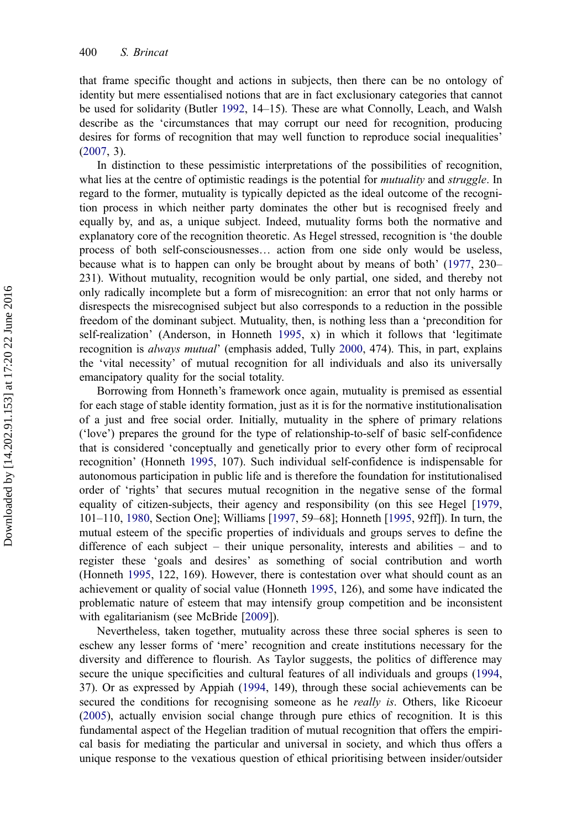that frame specific thought and actions in subjects, then there can be no ontology of identity but mere essentialised notions that are in fact exclusionary categories that cannot be used for solidarity (Butler [1992,](#page-10-0) 14–15). These are what Connolly, Leach, and Walsh describe as the 'circumstances that may corrupt our need for recognition, producing desires for forms of recognition that may well function to reproduce social inequalities' ([2007](#page-10-0), 3).

In distinction to these pessimistic interpretations of the possibilities of recognition, what lies at the centre of optimistic readings is the potential for *mutuality* and *struggle*. In regard to the former, mutuality is typically depicted as the ideal outcome of the recognition process in which neither party dominates the other but is recognised freely and equally by, and as, a unique subject. Indeed, mutuality forms both the normative and explanatory core of the recognition theoretic. As Hegel stressed, recognition is 'the double process of both self-consciousnesses… action from one side only would be useless, because what is to happen can only be brought about by means of both' [\(1977](#page-11-0), 230– 231). Without mutuality, recognition would be only partial, one sided, and thereby not only radically incomplete but a form of misrecognition: an error that not only harms or disrespects the misrecognised subject but also corresponds to a reduction in the possible freedom of the dominant subject. Mutuality, then, is nothing less than a 'precondition for self-realization' (Anderson, in Honneth [1995,](#page-11-0) x) in which it follows that 'legitimate recognition is always mutual' (emphasis added, Tully [2000,](#page-12-0) 474). This, in part, explains the 'vital necessity' of mutual recognition for all individuals and also its universally emancipatory quality for the social totality.

Borrowing from Honneth's framework once again, mutuality is premised as essential for each stage of stable identity formation, just as it is for the normative institutionalisation of a just and free social order. Initially, mutuality in the sphere of primary relations ('love') prepares the ground for the type of relationship-to-self of basic self-confidence that is considered 'conceptually and genetically prior to every other form of reciprocal recognition' (Honneth [1995](#page-11-0), 107). Such individual self-confidence is indispensable for autonomous participation in public life and is therefore the foundation for institutionalised order of 'rights' that secures mutual recognition in the negative sense of the formal equality of citizen-subjects, their agency and responsibility (on this see Hegel [\[1979](#page-11-0), 101–110, [1980,](#page-11-0) Section One]; Williams [[1997,](#page-12-0) 59–68]; Honneth [\[1995](#page-11-0), 92ff]). In turn, the mutual esteem of the specific properties of individuals and groups serves to define the difference of each subject – their unique personality, interests and abilities – and to register these 'goals and desires' as something of social contribution and worth (Honneth [1995](#page-11-0), 122, 169). However, there is contestation over what should count as an achievement or quality of social value (Honneth [1995](#page-11-0), 126), and some have indicated the problematic nature of esteem that may intensify group competition and be inconsistent with egalitarianism (see McBride [[2009\]](#page-11-0)).

Nevertheless, taken together, mutuality across these three social spheres is seen to eschew any lesser forms of 'mere' recognition and create institutions necessary for the diversity and difference to flourish. As Taylor suggests, the politics of difference may secure the unique specificities and cultural features of all individuals and groups [\(1994](#page-12-0), 37). Or as expressed by Appiah ([1994,](#page-10-0) 149), through these social achievements can be secured the conditions for recognising someone as he *really is*. Others, like Ricoeur ([2005](#page-11-0)), actually envision social change through pure ethics of recognition. It is this fundamental aspect of the Hegelian tradition of mutual recognition that offers the empirical basis for mediating the particular and universal in society, and which thus offers a unique response to the vexatious question of ethical prioritising between insider/outsider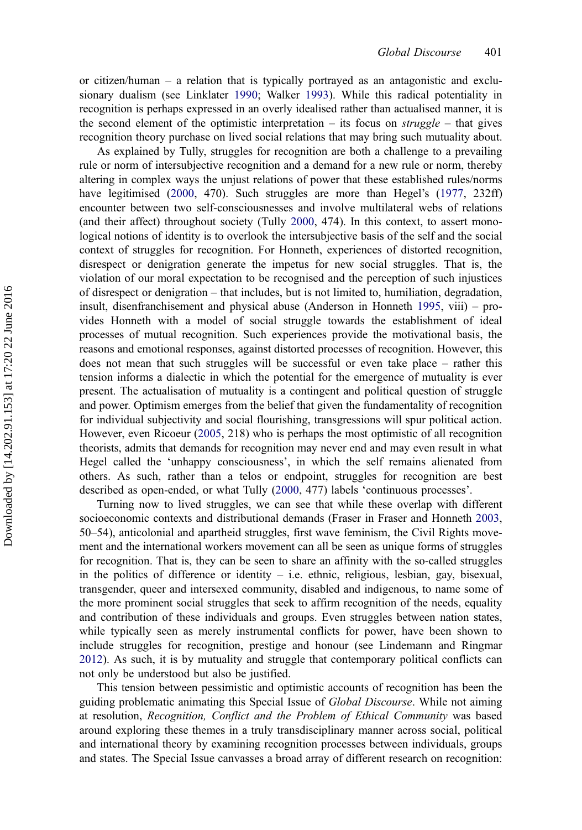or citizen/human – a relation that is typically portrayed as an antagonistic and exclusionary dualism (see Linklater [1990](#page-11-0); Walker [1993\)](#page-12-0). While this radical potentiality in recognition is perhaps expressed in an overly idealised rather than actualised manner, it is the second element of the optimistic interpretation – its focus on  $struggle$  – that gives recognition theory purchase on lived social relations that may bring such mutuality about.

As explained by Tully, struggles for recognition are both a challenge to a prevailing rule or norm of intersubjective recognition and a demand for a new rule or norm, thereby altering in complex ways the unjust relations of power that these established rules/norms have legitimised ([2000,](#page-12-0) 470). Such struggles are more than Hegel's [\(1977](#page-11-0), 232ff) encounter between two self-consciousnesses and involve multilateral webs of relations (and their affect) throughout society (Tully [2000,](#page-12-0) 474). In this context, to assert monological notions of identity is to overlook the intersubjective basis of the self and the social context of struggles for recognition. For Honneth, experiences of distorted recognition, disrespect or denigration generate the impetus for new social struggles. That is, the violation of our moral expectation to be recognised and the perception of such injustices of disrespect or denigration – that includes, but is not limited to, humiliation, degradation, insult, disenfranchisement and physical abuse (Anderson in Honneth [1995,](#page-11-0) viii) – provides Honneth with a model of social struggle towards the establishment of ideal processes of mutual recognition. Such experiences provide the motivational basis, the reasons and emotional responses, against distorted processes of recognition. However, this does not mean that such struggles will be successful or even take place – rather this tension informs a dialectic in which the potential for the emergence of mutuality is ever present. The actualisation of mutuality is a contingent and political question of struggle and power. Optimism emerges from the belief that given the fundamentality of recognition for individual subjectivity and social flourishing, transgressions will spur political action. However, even Ricoeur ([2005,](#page-11-0) 218) who is perhaps the most optimistic of all recognition theorists, admits that demands for recognition may never end and may even result in what Hegel called the 'unhappy consciousness', in which the self remains alienated from others. As such, rather than a telos or endpoint, struggles for recognition are best described as open-ended, or what Tully ([2000,](#page-12-0) 477) labels 'continuous processes'.

Turning now to lived struggles, we can see that while these overlap with different socioeconomic contexts and distributional demands (Fraser in Fraser and Honneth [2003](#page-10-0), 50–54), anticolonial and apartheid struggles, first wave feminism, the Civil Rights movement and the international workers movement can all be seen as unique forms of struggles for recognition. That is, they can be seen to share an affinity with the so-called struggles in the politics of difference or identity – i.e. ethnic, religious, lesbian, gay, bisexual, transgender, queer and intersexed community, disabled and indigenous, to name some of the more prominent social struggles that seek to affirm recognition of the needs, equality and contribution of these individuals and groups. Even struggles between nation states, while typically seen as merely instrumental conflicts for power, have been shown to include struggles for recognition, prestige and honour (see Lindemann and Ringmar [2012](#page-11-0)). As such, it is by mutuality and struggle that contemporary political conflicts can not only be understood but also be justified.

This tension between pessimistic and optimistic accounts of recognition has been the guiding problematic animating this Special Issue of *Global Discourse*. While not aiming at resolution, Recognition, Conflict and the Problem of Ethical Community was based around exploring these themes in a truly transdisciplinary manner across social, political and international theory by examining recognition processes between individuals, groups and states. The Special Issue canvasses a broad array of different research on recognition: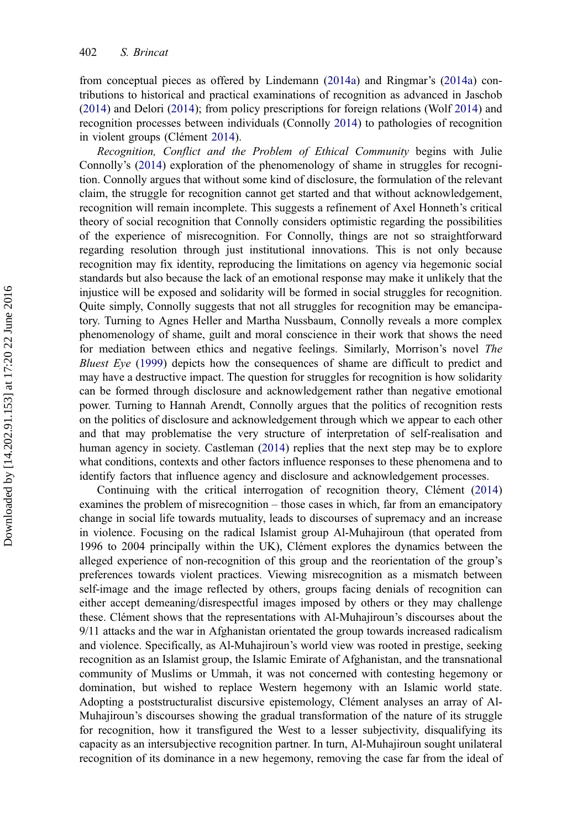from conceptual pieces as offered by Lindemann ([2014a](#page-11-0)) and Ringmar's ([2014a](#page-12-0)) contributions to historical and practical examinations of recognition as advanced in Jaschob ([2014](#page-11-0)) and Delori [\(2014](#page-10-0)); from policy prescriptions for foreign relations (Wolf [2014](#page-12-0)) and recognition processes between individuals (Connolly [2014](#page-10-0)) to pathologies of recognition in violent groups (Clément [2014](#page-10-0)).

Recognition, Conflict and the Problem of Ethical Community begins with Julie Connolly's ([2014\)](#page-10-0) exploration of the phenomenology of shame in struggles for recognition. Connolly argues that without some kind of disclosure, the formulation of the relevant claim, the struggle for recognition cannot get started and that without acknowledgement, recognition will remain incomplete. This suggests a refinement of Axel Honneth's critical theory of social recognition that Connolly considers optimistic regarding the possibilities of the experience of misrecognition. For Connolly, things are not so straightforward regarding resolution through just institutional innovations. This is not only because recognition may fix identity, reproducing the limitations on agency via hegemonic social standards but also because the lack of an emotional response may make it unlikely that the injustice will be exposed and solidarity will be formed in social struggles for recognition. Quite simply, Connolly suggests that not all struggles for recognition may be emancipatory. Turning to Agnes Heller and Martha Nussbaum, Connolly reveals a more complex phenomenology of shame, guilt and moral conscience in their work that shows the need for mediation between ethics and negative feelings. Similarly, Morrison's novel The Bluest Eye [\(1999](#page-11-0)) depicts how the consequences of shame are difficult to predict and may have a destructive impact. The question for struggles for recognition is how solidarity can be formed through disclosure and acknowledgement rather than negative emotional power. Turning to Hannah Arendt, Connolly argues that the politics of recognition rests on the politics of disclosure and acknowledgement through which we appear to each other and that may problematise the very structure of interpretation of self-realisation and human agency in society. Castleman [\(2014](#page-10-0)) replies that the next step may be to explore what conditions, contexts and other factors influence responses to these phenomena and to identify factors that influence agency and disclosure and acknowledgement processes.

Continuing with the critical interrogation of recognition theory, Clément ([2014\)](#page-10-0) examines the problem of misrecognition – those cases in which, far from an emancipatory change in social life towards mutuality, leads to discourses of supremacy and an increase in violence. Focusing on the radical Islamist group Al-Muhajiroun (that operated from 1996 to 2004 principally within the UK), Clément explores the dynamics between the alleged experience of non-recognition of this group and the reorientation of the group's preferences towards violent practices. Viewing misrecognition as a mismatch between self-image and the image reflected by others, groups facing denials of recognition can either accept demeaning/disrespectful images imposed by others or they may challenge these. Clément shows that the representations with Al-Muhajiroun's discourses about the 9/11 attacks and the war in Afghanistan orientated the group towards increased radicalism and violence. Specifically, as Al-Muhajiroun's world view was rooted in prestige, seeking recognition as an Islamist group, the Islamic Emirate of Afghanistan, and the transnational community of Muslims or Ummah, it was not concerned with contesting hegemony or domination, but wished to replace Western hegemony with an Islamic world state. Adopting a poststructuralist discursive epistemology, Clément analyses an array of Al-Muhajiroun's discourses showing the gradual transformation of the nature of its struggle for recognition, how it transfigured the West to a lesser subjectivity, disqualifying its capacity as an intersubjective recognition partner. In turn, Al-Muhajiroun sought unilateral recognition of its dominance in a new hegemony, removing the case far from the ideal of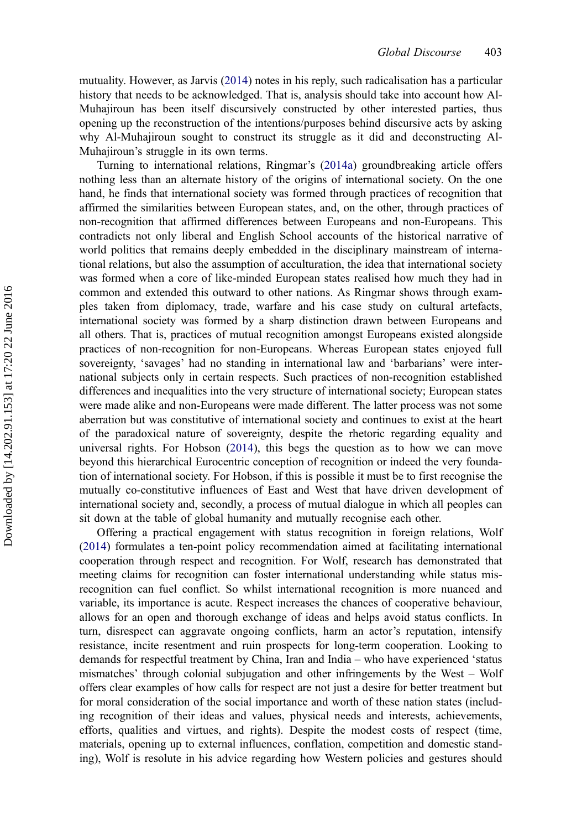mutuality. However, as Jarvis [\(2014](#page-11-0)) notes in his reply, such radicalisation has a particular history that needs to be acknowledged. That is, analysis should take into account how Al-Muhajiroun has been itself discursively constructed by other interested parties, thus opening up the reconstruction of the intentions/purposes behind discursive acts by asking why Al-Muhajiroun sought to construct its struggle as it did and deconstructing Al-Muhajiroun's struggle in its own terms.

Turning to international relations, Ringmar's ([2014a](#page-12-0)) groundbreaking article offers nothing less than an alternate history of the origins of international society. On the one hand, he finds that international society was formed through practices of recognition that affirmed the similarities between European states, and, on the other, through practices of non-recognition that affirmed differences between Europeans and non-Europeans. This contradicts not only liberal and English School accounts of the historical narrative of world politics that remains deeply embedded in the disciplinary mainstream of international relations, but also the assumption of acculturation, the idea that international society was formed when a core of like-minded European states realised how much they had in common and extended this outward to other nations. As Ringmar shows through examples taken from diplomacy, trade, warfare and his case study on cultural artefacts, international society was formed by a sharp distinction drawn between Europeans and all others. That is, practices of mutual recognition amongst Europeans existed alongside practices of non-recognition for non-Europeans. Whereas European states enjoyed full sovereignty, 'savages' had no standing in international law and 'barbarians' were international subjects only in certain respects. Such practices of non-recognition established differences and inequalities into the very structure of international society; European states were made alike and non-Europeans were made different. The latter process was not some aberration but was constitutive of international society and continues to exist at the heart of the paradoxical nature of sovereignty, despite the rhetoric regarding equality and universal rights. For Hobson [\(2014](#page-11-0)), this begs the question as to how we can move beyond this hierarchical Eurocentric conception of recognition or indeed the very foundation of international society. For Hobson, if this is possible it must be to first recognise the mutually co-constitutive influences of East and West that have driven development of international society and, secondly, a process of mutual dialogue in which all peoples can sit down at the table of global humanity and mutually recognise each other.

Offering a practical engagement with status recognition in foreign relations, Wolf ([2014](#page-12-0)) formulates a ten-point policy recommendation aimed at facilitating international cooperation through respect and recognition. For Wolf, research has demonstrated that meeting claims for recognition can foster international understanding while status misrecognition can fuel conflict. So whilst international recognition is more nuanced and variable, its importance is acute. Respect increases the chances of cooperative behaviour, allows for an open and thorough exchange of ideas and helps avoid status conflicts. In turn, disrespect can aggravate ongoing conflicts, harm an actor's reputation, intensify resistance, incite resentment and ruin prospects for long-term cooperation. Looking to demands for respectful treatment by China, Iran and India – who have experienced 'status mismatches' through colonial subjugation and other infringements by the West – Wolf offers clear examples of how calls for respect are not just a desire for better treatment but for moral consideration of the social importance and worth of these nation states (including recognition of their ideas and values, physical needs and interests, achievements, efforts, qualities and virtues, and rights). Despite the modest costs of respect (time, materials, opening up to external influences, conflation, competition and domestic standing), Wolf is resolute in his advice regarding how Western policies and gestures should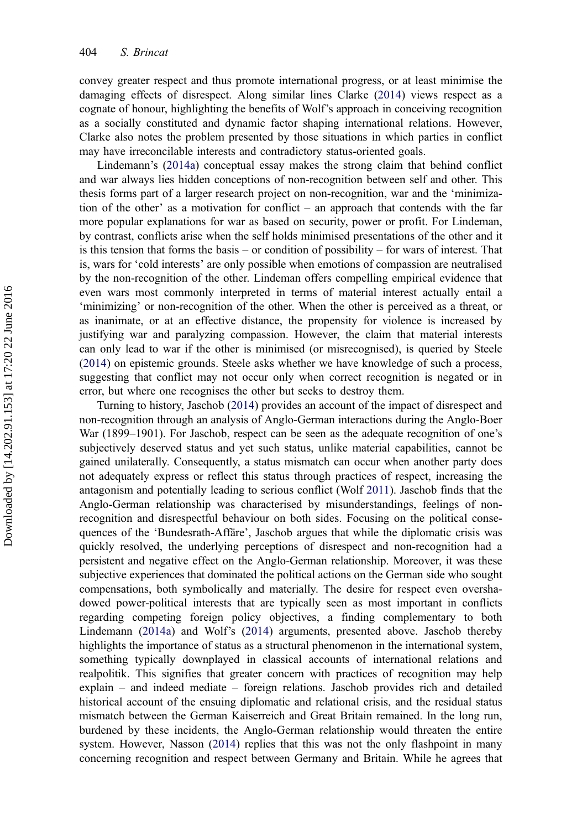convey greater respect and thus promote international progress, or at least minimise the damaging effects of disrespect. Along similar lines Clarke [\(2014](#page-10-0)) views respect as a cognate of honour, highlighting the benefits of Wolf's approach in conceiving recognition as a socially constituted and dynamic factor shaping international relations. However, Clarke also notes the problem presented by those situations in which parties in conflict may have irreconcilable interests and contradictory status-oriented goals.

Lindemann's [\(2014a\)](#page-11-0) conceptual essay makes the strong claim that behind conflict and war always lies hidden conceptions of non-recognition between self and other. This thesis forms part of a larger research project on non-recognition, war and the 'minimization of the other' as a motivation for conflict – an approach that contends with the far more popular explanations for war as based on security, power or profit. For Lindeman, by contrast, conflicts arise when the self holds minimised presentations of the other and it is this tension that forms the basis – or condition of possibility – for wars of interest. That is, wars for 'cold interests' are only possible when emotions of compassion are neutralised by the non-recognition of the other. Lindeman offers compelling empirical evidence that even wars most commonly interpreted in terms of material interest actually entail a 'minimizing' or non-recognition of the other. When the other is perceived as a threat, or as inanimate, or at an effective distance, the propensity for violence is increased by justifying war and paralyzing compassion. However, the claim that material interests can only lead to war if the other is minimised (or misrecognised), is queried by Steele ([2014](#page-12-0)) on epistemic grounds. Steele asks whether we have knowledge of such a process, suggesting that conflict may not occur only when correct recognition is negated or in error, but where one recognises the other but seeks to destroy them.

Turning to history, Jaschob ([2014\)](#page-11-0) provides an account of the impact of disrespect and non-recognition through an analysis of Anglo-German interactions during the Anglo-Boer War (1899–1901). For Jaschob, respect can be seen as the adequate recognition of one's subjectively deserved status and yet such status, unlike material capabilities, cannot be gained unilaterally. Consequently, a status mismatch can occur when another party does not adequately express or reflect this status through practices of respect, increasing the antagonism and potentially leading to serious conflict (Wolf [2011](#page-12-0)). Jaschob finds that the Anglo-German relationship was characterised by misunderstandings, feelings of nonrecognition and disrespectful behaviour on both sides. Focusing on the political consequences of the 'Bundesrath-Affäre', Jaschob argues that while the diplomatic crisis was quickly resolved, the underlying perceptions of disrespect and non-recognition had a persistent and negative effect on the Anglo-German relationship. Moreover, it was these subjective experiences that dominated the political actions on the German side who sought compensations, both symbolically and materially. The desire for respect even overshadowed power-political interests that are typically seen as most important in conflicts regarding competing foreign policy objectives, a finding complementary to both Lindemann ([2014a](#page-11-0)) and Wolf's [\(2014](#page-12-0)) arguments, presented above. Jaschob thereby highlights the importance of status as a structural phenomenon in the international system, something typically downplayed in classical accounts of international relations and realpolitik. This signifies that greater concern with practices of recognition may help explain – and indeed mediate – foreign relations. Jaschob provides rich and detailed historical account of the ensuing diplomatic and relational crisis, and the residual status mismatch between the German Kaiserreich and Great Britain remained. In the long run, burdened by these incidents, the Anglo-German relationship would threaten the entire system. However, Nasson [\(2014](#page-11-0)) replies that this was not the only flashpoint in many concerning recognition and respect between Germany and Britain. While he agrees that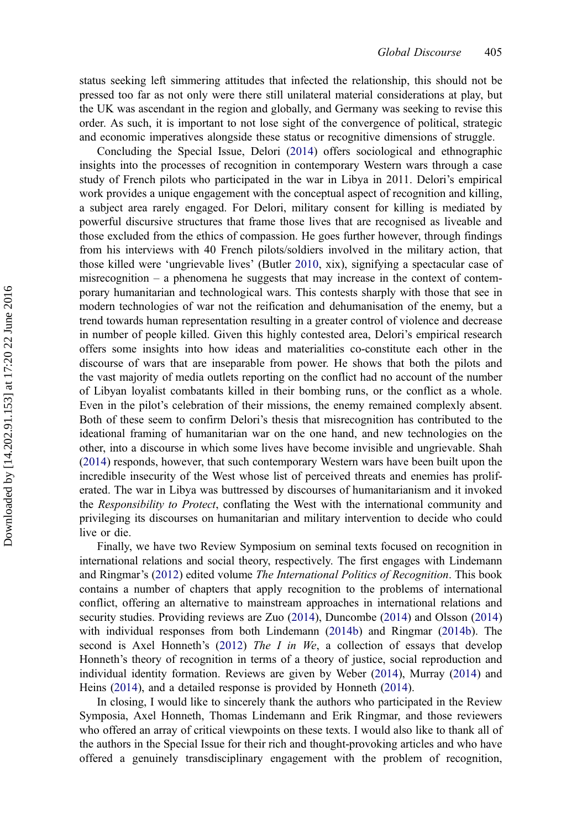status seeking left simmering attitudes that infected the relationship, this should not be pressed too far as not only were there still unilateral material considerations at play, but the UK was ascendant in the region and globally, and Germany was seeking to revise this order. As such, it is important to not lose sight of the convergence of political, strategic and economic imperatives alongside these status or recognitive dimensions of struggle.

Concluding the Special Issue, Delori [\(2014\)](#page-10-0) offers sociological and ethnographic insights into the processes of recognition in contemporary Western wars through a case study of French pilots who participated in the war in Libya in 2011. Delori's empirical work provides a unique engagement with the conceptual aspect of recognition and killing, a subject area rarely engaged. For Delori, military consent for killing is mediated by powerful discursive structures that frame those lives that are recognised as liveable and those excluded from the ethics of compassion. He goes further however, through findings from his interviews with 40 French pilots/soldiers involved in the military action, that those killed were 'ungrievable lives' (Butler [2010](#page-10-0), xix), signifying a spectacular case of misrecognition  $-$  a phenomena he suggests that may increase in the context of contemporary humanitarian and technological wars. This contests sharply with those that see in modern technologies of war not the reification and dehumanisation of the enemy, but a trend towards human representation resulting in a greater control of violence and decrease in number of people killed. Given this highly contested area, Delori's empirical research offers some insights into how ideas and materialities co-constitute each other in the discourse of wars that are inseparable from power. He shows that both the pilots and the vast majority of media outlets reporting on the conflict had no account of the number of Libyan loyalist combatants killed in their bombing runs, or the conflict as a whole. Even in the pilot's celebration of their missions, the enemy remained complexly absent. Both of these seem to confirm Delori's thesis that misrecognition has contributed to the ideational framing of humanitarian war on the one hand, and new technologies on the other, into a discourse in which some lives have become invisible and ungrievable. Shah ([2014](#page-12-0)) responds, however, that such contemporary Western wars have been built upon the incredible insecurity of the West whose list of perceived threats and enemies has proliferated. The war in Libya was buttressed by discourses of humanitarianism and it invoked the Responsibility to Protect, conflating the West with the international community and privileging its discourses on humanitarian and military intervention to decide who could live or die.

Finally, we have two Review Symposium on seminal texts focused on recognition in international relations and social theory, respectively. The first engages with Lindemann and Ringmar's ([2012\)](#page-11-0) edited volume The International Politics of Recognition. This book contains a number of chapters that apply recognition to the problems of international conflict, offering an alternative to mainstream approaches in international relations and security studies. Providing reviews are Zuo [\(2014](#page-12-0)), Duncombe ([2014\)](#page-10-0) and Olsson ([2014\)](#page-11-0) with individual responses from both Lindemann [\(2014b](#page-11-0)) and Ringmar ([2014b\)](#page-12-0). The second is Axel Honneth's  $(2012)$  $(2012)$  The I in We, a collection of essays that develop Honneth's theory of recognition in terms of a theory of justice, social reproduction and individual identity formation. Reviews are given by Weber ([2014\)](#page-12-0), Murray [\(2014](#page-11-0)) and Heins ([2014\)](#page-11-0), and a detailed response is provided by Honneth ([2014\)](#page-11-0).

In closing, I would like to sincerely thank the authors who participated in the Review Symposia, Axel Honneth, Thomas Lindemann and Erik Ringmar, and those reviewers who offered an array of critical viewpoints on these texts. I would also like to thank all of the authors in the Special Issue for their rich and thought-provoking articles and who have offered a genuinely transdisciplinary engagement with the problem of recognition,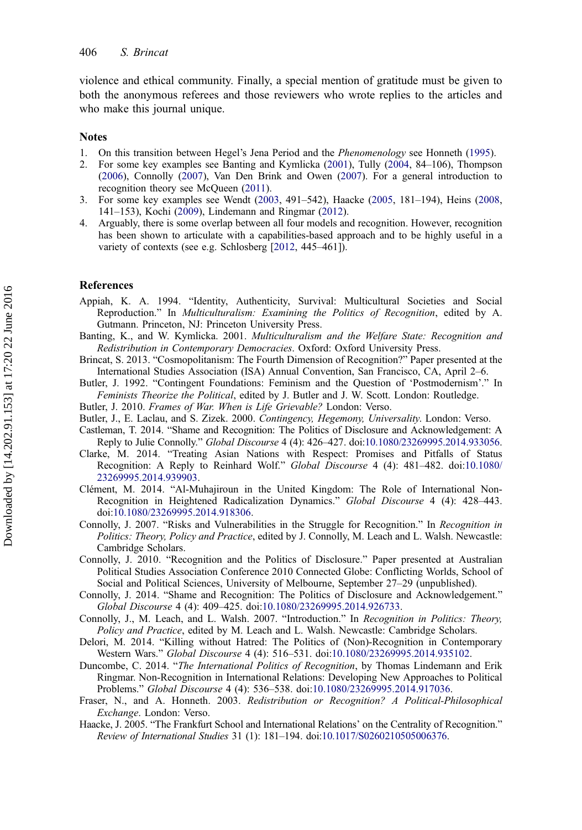<span id="page-10-0"></span>violence and ethical community. Finally, a special mention of gratitude must be given to both the anonymous referees and those reviewers who wrote replies to the articles and who make this journal unique.

### **Notes**

- 1. On this transition between Hegel's Jena Period and the Phenomenology see Honneth ([1995\)](#page-11-0).
- 2. For some key examples see Banting and Kymlicka (2001), Tully ([2004,](#page-12-0) 84–106), Thompson [\(2006](#page-12-0)), Connolly (2007), Van Den Brink and Owen ([2007\)](#page-12-0). For a general introduction to recognition theory see McQueen ([2011](#page-11-0)).
- 3. For some key examples see Wendt ([2003,](#page-12-0) 491–542), Haacke (2005, 181–194), Heins ([2008,](#page-11-0) 141–153), Kochi ([2009\)](#page-11-0), Lindemann and Ringmar ([2012\)](#page-11-0).
- 4. Arguably, there is some overlap between all four models and recognition. However, recognition has been shown to articulate with a capabilities-based approach and to be highly useful in a variety of contexts (see e.g. Schlosberg [\[2012](#page-12-0), 445–461]).

#### References

- Appiah, K. A. 1994. "Identity, Authenticity, Survival: Multicultural Societies and Social Reproduction." In Multiculturalism: Examining the Politics of Recognition, edited by A. Gutmann. Princeton, NJ: Princeton University Press.
- Banting, K., and W. Kymlicka. 2001. Multiculturalism and the Welfare State: Recognition and Redistribution in Contemporary Democracies. Oxford: Oxford University Press.
- Brincat, S. 2013. "Cosmopolitanism: The Fourth Dimension of Recognition?" Paper presented at the International Studies Association (ISA) Annual Convention, San Francisco, CA, April 2–6.
- Butler, J. 1992. "Contingent Foundations: Feminism and the Question of 'Postmodernism'." In Feminists Theorize the Political, edited by J. Butler and J. W. Scott. London: Routledge.
- Butler, J. 2010. Frames of War. When is Life Grievable? London: Verso.
- Butler, J., E. Laclau, and S. Zizek. 2000. Contingency, Hegemony, Universality. London: Verso.
- Castleman, T. 2014. "Shame and Recognition: The Politics of Disclosure and Acknowledgement: A Reply to Julie Connolly." Global Discourse 4 (4): 426–427. doi[:10.1080/23269995.2014.933056.](http://dx.doi.org/10.1080/23269995.2014.933056)
- Clarke, M. 2014. "Treating Asian Nations with Respect: Promises and Pitfalls of Status Recognition: A Reply to Reinhard Wolf." Global Discourse 4 (4): 481–482. doi[:10.1080/](http://dx.doi.org/10.1080/23269995.2014.939903) [23269995.2014.939903](http://dx.doi.org/10.1080/23269995.2014.939903).
- Clément, M. 2014. "Al-Muhajiroun in the United Kingdom: The Role of International Non-Recognition in Heightened Radicalization Dynamics." Global Discourse 4 (4): 428–443. doi[:10.1080/23269995.2014.918306.](http://dx.doi.org/10.1080/23269995.2014.918306)
- Connolly, J. 2007. "Risks and Vulnerabilities in the Struggle for Recognition." In Recognition in Politics: Theory, Policy and Practice, edited by J. Connolly, M. Leach and L. Walsh. Newcastle: Cambridge Scholars.
- Connolly, J. 2010. "Recognition and the Politics of Disclosure." Paper presented at Australian Political Studies Association Conference 2010 Connected Globe: Conflicting Worlds, School of Social and Political Sciences, University of Melbourne, September 27–29 (unpublished).
- Connolly, J. 2014. "Shame and Recognition: The Politics of Disclosure and Acknowledgement." Global Discourse 4 (4): 409–425. doi[:10.1080/23269995.2014.926733](http://dx.doi.org/10.1080/23269995.2014.926733).
- Connolly, J., M. Leach, and L. Walsh. 2007. "Introduction." In Recognition in Politics: Theory, Policy and Practice, edited by M. Leach and L. Walsh. Newcastle: Cambridge Scholars.
- Delori, M. 2014. "Killing without Hatred: The Politics of (Non)-Recognition in Contemporary Western Wars." Global Discourse 4 (4): 516–531. doi[:10.1080/23269995.2014.935102](http://dx.doi.org/10.1080/23269995.2014.935102).
- Duncombe, C. 2014. "The International Politics of Recognition, by Thomas Lindemann and Erik Ringmar. Non-Recognition in International Relations: Developing New Approaches to Political Problems." Global Discourse 4 (4): 536–538. doi[:10.1080/23269995.2014.917036.](http://dx.doi.org/10.1080/23269995.2014.917036)
- Fraser, N., and A. Honneth. 2003. Redistribution or Recognition? A Political-Philosophical Exchange. London: Verso.
- Haacke, J. 2005. "The Frankfurt School and International Relations' on the Centrality of Recognition." Review of International Studies 31 (1): 181–194. doi[:10.1017/S0260210505006376.](http://dx.doi.org/10.1017/S0260210505006376)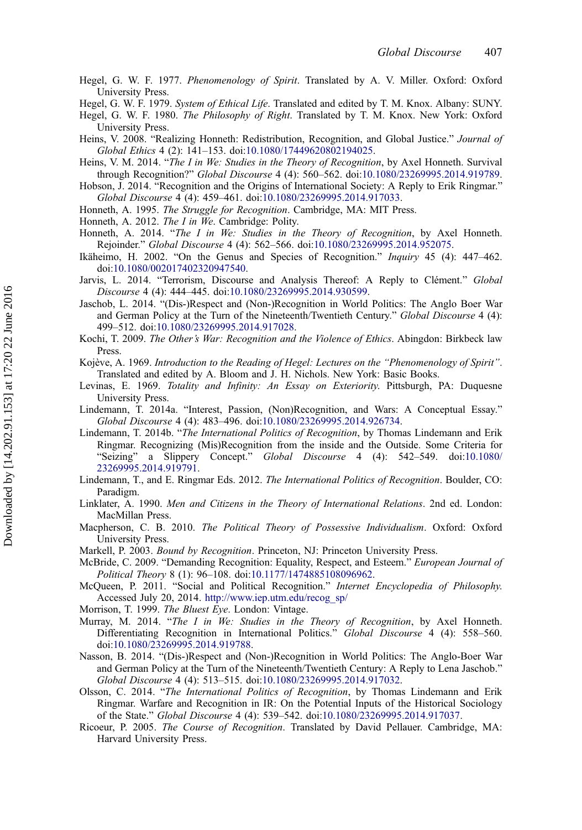<span id="page-11-0"></span>Hegel, G. W. F. 1977. Phenomenology of Spirit. Translated by A. V. Miller. Oxford: Oxford University Press.

Hegel, G. W. F. 1979. System of Ethical Life. Translated and edited by T. M. Knox. Albany: SUNY.

- Hegel, G. W. F. 1980. The Philosophy of Right. Translated by T. M. Knox. New York: Oxford University Press.
- Heins, V. 2008. "Realizing Honneth: Redistribution, Recognition, and Global Justice." Journal of Global Ethics 4 (2): 141–153. doi:[10.1080/17449620802194025](http://dx.doi.org/10.1080/17449620802194025).
- Heins, V. M. 2014. "The I in We: Studies in the Theory of Recognition, by Axel Honneth. Survival through Recognition?" Global Discourse 4 (4): 560–562. doi:[10.1080/23269995.2014.919789.](http://dx.doi.org/10.1080/23269995.2014.919789)
- Hobson, J. 2014. "Recognition and the Origins of International Society: A Reply to Erik Ringmar." Global Discourse 4 (4): 459–461. doi[:10.1080/23269995.2014.917033](http://dx.doi.org/10.1080/23269995.2014.917033).
- Honneth, A. 1995. The Struggle for Recognition. Cambridge, MA: MIT Press.
- Honneth, A. 2012. The I in We. Cambridge: Polity.
- Honneth, A. 2014. "The I in We: Studies in the Theory of Recognition, by Axel Honneth. Rejoinder." Global Discourse 4 (4): 562–566. doi[:10.1080/23269995.2014.952075.](http://dx.doi.org/10.1080/23269995.2014.952075)
- Ikäheimo, H. 2002. "On the Genus and Species of Recognition." Inquiry 45 (4): 447–462. doi[:10.1080/002017402320947540](http://dx.doi.org/10.1080/002017402320947540).
- Jarvis, L. 2014. "Terrorism, Discourse and Analysis Thereof: A Reply to Clément." Global Discourse 4 (4): 444–445. doi:[10.1080/23269995.2014.930599](http://dx.doi.org/10.1080/23269995.2014.930599).
- Jaschob, L. 2014. "(Dis-)Respect and (Non-)Recognition in World Politics: The Anglo Boer War and German Policy at the Turn of the Nineteenth/Twentieth Century." Global Discourse 4 (4): 499–512. doi:[10.1080/23269995.2014.917028](http://dx.doi.org/10.1080/23269995.2014.917028).
- Kochi, T. 2009. The Other's War: Recognition and the Violence of Ethics. Abingdon: Birkbeck law Press.
- Kojève, A. 1969. Introduction to the Reading of Hegel: Lectures on the "Phenomenology of Spirit". Translated and edited by A. Bloom and J. H. Nichols. New York: Basic Books.
- Levinas, E. 1969. Totality and Infinity: An Essay on Exteriority. Pittsburgh, PA: Duquesne University Press.
- Lindemann, T. 2014a. "Interest, Passion, (Non)Recognition, and Wars: A Conceptual Essay." Global Discourse 4 (4): 483–496. doi[:10.1080/23269995.2014.926734](http://dx.doi.org/10.1080/23269995.2014.926734).
- Lindemann, T. 2014b. "The International Politics of Recognition, by Thomas Lindemann and Erik Ringmar. Recognizing (Mis)Recognition from the inside and the Outside. Some Criteria for "Seizing" a Slippery Concept." *Global Discourse* 4 (4): 542–549. doi:10.1080/ Concept." Global Discourse 4 (4): 542–549. doi[:10.1080/](http://dx.doi.org/10.1080/23269995.2014.919791) [23269995.2014.919791](http://dx.doi.org/10.1080/23269995.2014.919791).
- Lindemann, T., and E. Ringmar Eds. 2012. The International Politics of Recognition. Boulder, CO: Paradigm.
- Linklater, A. 1990. Men and Citizens in the Theory of International Relations. 2nd ed. London: MacMillan Press.
- Macpherson, C. B. 2010. The Political Theory of Possessive Individualism. Oxford: Oxford University Press.
- Markell, P. 2003. Bound by Recognition. Princeton, NJ: Princeton University Press.
- McBride, C. 2009. "Demanding Recognition: Equality, Respect, and Esteem." European Journal of Political Theory 8 (1): 96–108. doi:[10.1177/1474885108096962.](http://dx.doi.org/10.1177/1474885108096962)
- McQueen, P. 2011. "Social and Political Recognition." Internet Encyclopedia of Philosophy. Accessed July 20, 2014. [http://www.iep.utm.edu/recog\\_sp/](http://www.iep.utm.edu/recog_sp/)
- Morrison, T. 1999. The Bluest Eye. London: Vintage.
- Murray, M. 2014. "The I in We: Studies in the Theory of Recognition, by Axel Honneth. Differentiating Recognition in International Politics." Global Discourse 4 (4): 558–560. doi[:10.1080/23269995.2014.919788.](http://dx.doi.org/10.1080/23269995.2014.919788)
- Nasson, B. 2014. "(Dis-)Respect and (Non-)Recognition in World Politics: The Anglo-Boer War and German Policy at the Turn of the Nineteenth/Twentieth Century: A Reply to Lena Jaschob." Global Discourse 4 (4): 513–515. doi[:10.1080/23269995.2014.917032](http://dx.doi.org/10.1080/23269995.2014.917032).
- Olsson, C. 2014. "The International Politics of Recognition, by Thomas Lindemann and Erik Ringmar. Warfare and Recognition in IR: On the Potential Inputs of the Historical Sociology of the State." Global Discourse 4 (4): 539–542. doi[:10.1080/23269995.2014.917037](http://dx.doi.org/10.1080/23269995.2014.917037).
- Ricoeur, P. 2005. The Course of Recognition. Translated by David Pellauer. Cambridge, MA: Harvard University Press.